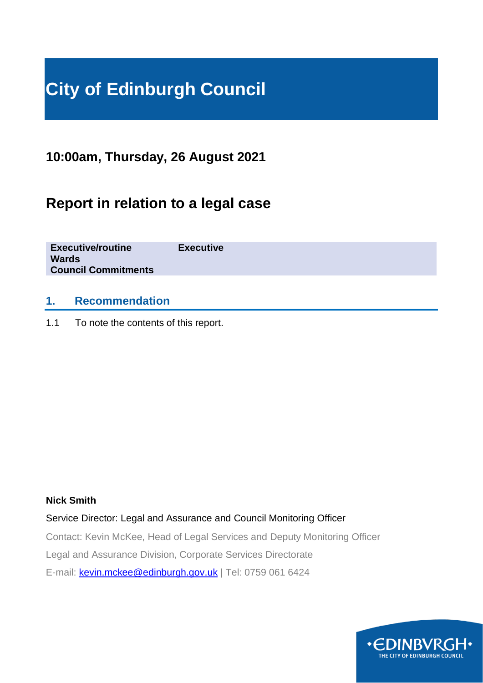# **City of Edinburgh Council**

**10:00am, Thursday, 26 August 2021**

# **Report in relation to a legal case**

**Executive/routine Executive Wards Council Commitments**

### **1. Recommendation**

1.1 To note the contents of this report.

#### **Nick Smith**

Service Director: Legal and Assurance and Council Monitoring Officer

Contact: Kevin McKee, Head of Legal Services and Deputy Monitoring Officer

Legal and Assurance Division, Corporate Services Directorate

E-mail: [kevin.mckee@edinburgh.gov.uk](mailto:kevin.mckee@edinburgh.gov.uk) | Tel: 0759 061 6424

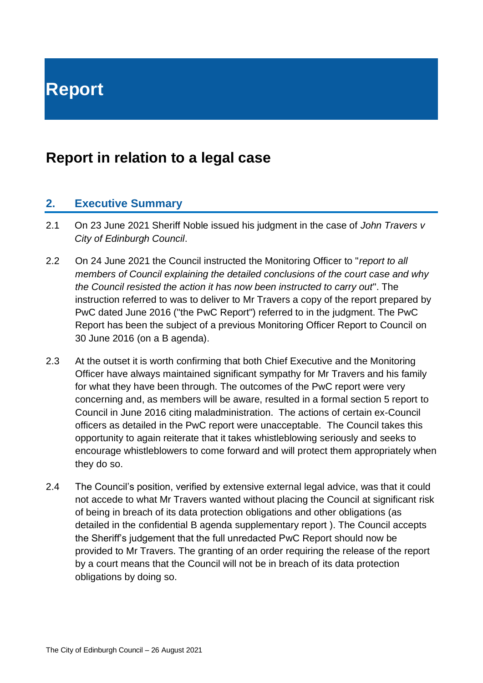**Report**

# **Report in relation to a legal case**

#### **2. Executive Summary**

- 2.1 On 23 June 2021 Sheriff Noble issued his judgment in the case of *John Travers v City of Edinburgh Council*.
- 2.2 On 24 June 2021 the Council instructed the Monitoring Officer to "*report to all members of Council explaining the detailed conclusions of the court case and why the Council resisted the action it has now been instructed to carry out*". The instruction referred to was to deliver to Mr Travers a copy of the report prepared by PwC dated June 2016 ("the PwC Report") referred to in the judgment. The PwC Report has been the subject of a previous Monitoring Officer Report to Council on 30 June 2016 (on a B agenda).
- 2.3 At the outset it is worth confirming that both Chief Executive and the Monitoring Officer have always maintained significant sympathy for Mr Travers and his family for what they have been through. The outcomes of the PwC report were very concerning and, as members will be aware, resulted in a formal section 5 report to Council in June 2016 citing maladministration. The actions of certain ex-Council officers as detailed in the PwC report were unacceptable. The Council takes this opportunity to again reiterate that it takes whistleblowing seriously and seeks to encourage whistleblowers to come forward and will protect them appropriately when they do so.
- 2.4 The Council's position, verified by extensive external legal advice, was that it could not accede to what Mr Travers wanted without placing the Council at significant risk of being in breach of its data protection obligations and other obligations (as detailed in the confidential B agenda supplementary report ). The Council accepts the Sheriff's judgement that the full unredacted PwC Report should now be provided to Mr Travers. The granting of an order requiring the release of the report by a court means that the Council will not be in breach of its data protection obligations by doing so.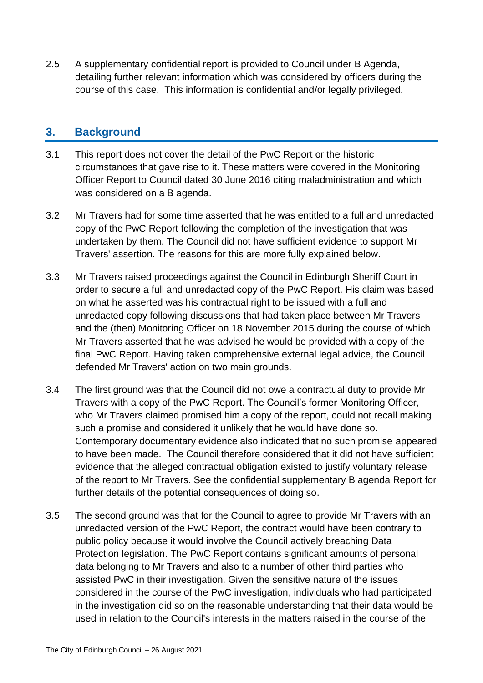2.5 A supplementary confidential report is provided to Council under B Agenda, detailing further relevant information which was considered by officers during the course of this case. This information is confidential and/or legally privileged.

#### **3. Background**

- 3.1 This report does not cover the detail of the PwC Report or the historic circumstances that gave rise to it. These matters were covered in the Monitoring Officer Report to Council dated 30 June 2016 citing maladministration and which was considered on a B agenda.
- 3.2 Mr Travers had for some time asserted that he was entitled to a full and unredacted copy of the PwC Report following the completion of the investigation that was undertaken by them. The Council did not have sufficient evidence to support Mr Travers' assertion. The reasons for this are more fully explained below.
- 3.3 Mr Travers raised proceedings against the Council in Edinburgh Sheriff Court in order to secure a full and unredacted copy of the PwC Report. His claim was based on what he asserted was his contractual right to be issued with a full and unredacted copy following discussions that had taken place between Mr Travers and the (then) Monitoring Officer on 18 November 2015 during the course of which Mr Travers asserted that he was advised he would be provided with a copy of the final PwC Report. Having taken comprehensive external legal advice, the Council defended Mr Travers' action on two main grounds.
- 3.4 The first ground was that the Council did not owe a contractual duty to provide Mr Travers with a copy of the PwC Report. The Council's former Monitoring Officer, who Mr Travers claimed promised him a copy of the report, could not recall making such a promise and considered it unlikely that he would have done so. Contemporary documentary evidence also indicated that no such promise appeared to have been made. The Council therefore considered that it did not have sufficient evidence that the alleged contractual obligation existed to justify voluntary release of the report to Mr Travers. See the confidential supplementary B agenda Report for further details of the potential consequences of doing so.
- 3.5 The second ground was that for the Council to agree to provide Mr Travers with an unredacted version of the PwC Report, the contract would have been contrary to public policy because it would involve the Council actively breaching Data Protection legislation. The PwC Report contains significant amounts of personal data belonging to Mr Travers and also to a number of other third parties who assisted PwC in their investigation. Given the sensitive nature of the issues considered in the course of the PwC investigation, individuals who had participated in the investigation did so on the reasonable understanding that their data would be used in relation to the Council's interests in the matters raised in the course of the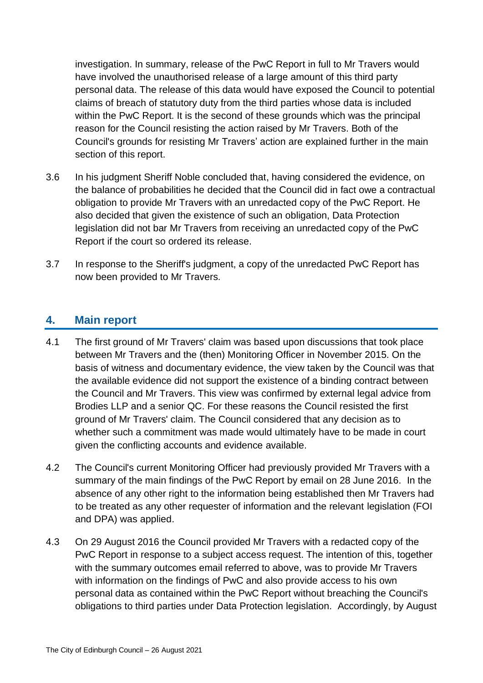investigation. In summary, release of the PwC Report in full to Mr Travers would have involved the unauthorised release of a large amount of this third party personal data. The release of this data would have exposed the Council to potential claims of breach of statutory duty from the third parties whose data is included within the PwC Report. It is the second of these grounds which was the principal reason for the Council resisting the action raised by Mr Travers. Both of the Council's grounds for resisting Mr Travers' action are explained further in the main section of this report.

- 3.6 In his judgment Sheriff Noble concluded that, having considered the evidence, on the balance of probabilities he decided that the Council did in fact owe a contractual obligation to provide Mr Travers with an unredacted copy of the PwC Report. He also decided that given the existence of such an obligation, Data Protection legislation did not bar Mr Travers from receiving an unredacted copy of the PwC Report if the court so ordered its release.
- 3.7 In response to the Sheriff's judgment, a copy of the unredacted PwC Report has now been provided to Mr Travers.

### **4. Main report**

- 4.1 The first ground of Mr Travers' claim was based upon discussions that took place between Mr Travers and the (then) Monitoring Officer in November 2015. On the basis of witness and documentary evidence, the view taken by the Council was that the available evidence did not support the existence of a binding contract between the Council and Mr Travers. This view was confirmed by external legal advice from Brodies LLP and a senior QC. For these reasons the Council resisted the first ground of Mr Travers' claim. The Council considered that any decision as to whether such a commitment was made would ultimately have to be made in court given the conflicting accounts and evidence available.
- 4.2 The Council's current Monitoring Officer had previously provided Mr Travers with a summary of the main findings of the PwC Report by email on 28 June 2016. In the absence of any other right to the information being established then Mr Travers had to be treated as any other requester of information and the relevant legislation (FOI and DPA) was applied.
- 4.3 On 29 August 2016 the Council provided Mr Travers with a redacted copy of the PwC Report in response to a subiect access request. The intention of this, together with the summary outcomes email referred to above, was to provide Mr Travers with information on the findings of PwC and also provide access to his own personal data as contained within the PwC Report without breaching the Council's obligations to third parties under Data Protection legislation. Accordingly, by August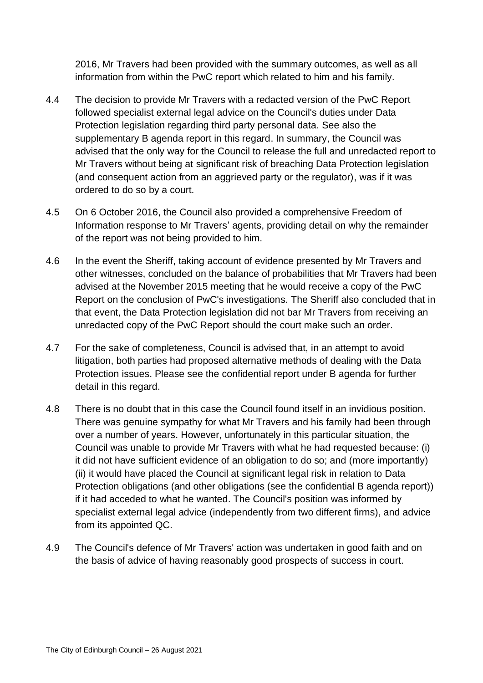2016, Mr Travers had been provided with the summary outcomes, as well as all information from within the PwC report which related to him and his family.

- 4.4 The decision to provide Mr Travers with a redacted version of the PwC Report followed specialist external legal advice on the Council's duties under Data Protection legislation regarding third party personal data. See also the supplementary B agenda report in this regard. In summary, the Council was advised that the only way for the Council to release the full and unredacted report to Mr Travers without being at significant risk of breaching Data Protection legislation (and consequent action from an aggrieved party or the regulator), was if it was ordered to do so by a court.
- 4.5 On 6 October 2016, the Council also provided a comprehensive Freedom of Information response to Mr Travers' agents, providing detail on why the remainder of the report was not being provided to him.
- 4.6 In the event the Sheriff, taking account of evidence presented by Mr Travers and other witnesses, concluded on the balance of probabilities that Mr Travers had been advised at the November 2015 meeting that he would receive a copy of the PwC Report on the conclusion of PwC's investigations. The Sheriff also concluded that in that event, the Data Protection legislation did not bar Mr Travers from receiving an unredacted copy of the PwC Report should the court make such an order.
- 4.7 For the sake of completeness, Council is advised that, in an attempt to avoid litigation, both parties had proposed alternative methods of dealing with the Data Protection issues. Please see the confidential report under B agenda for further detail in this regard.
- 4.8 There is no doubt that in this case the Council found itself in an invidious position. There was genuine sympathy for what Mr Travers and his family had been through over a number of years. However, unfortunately in this particular situation, the Council was unable to provide Mr Travers with what he had requested because: (i) it did not have sufficient evidence of an obligation to do so; and (more importantly) (ii) it would have placed the Council at significant legal risk in relation to Data Protection obligations (and other obligations (see the confidential B agenda report)) if it had acceded to what he wanted. The Council's position was informed by specialist external legal advice (independently from two different firms), and advice from its appointed QC.
- 4.9 The Council's defence of Mr Travers' action was undertaken in good faith and on the basis of advice of having reasonably good prospects of success in court.